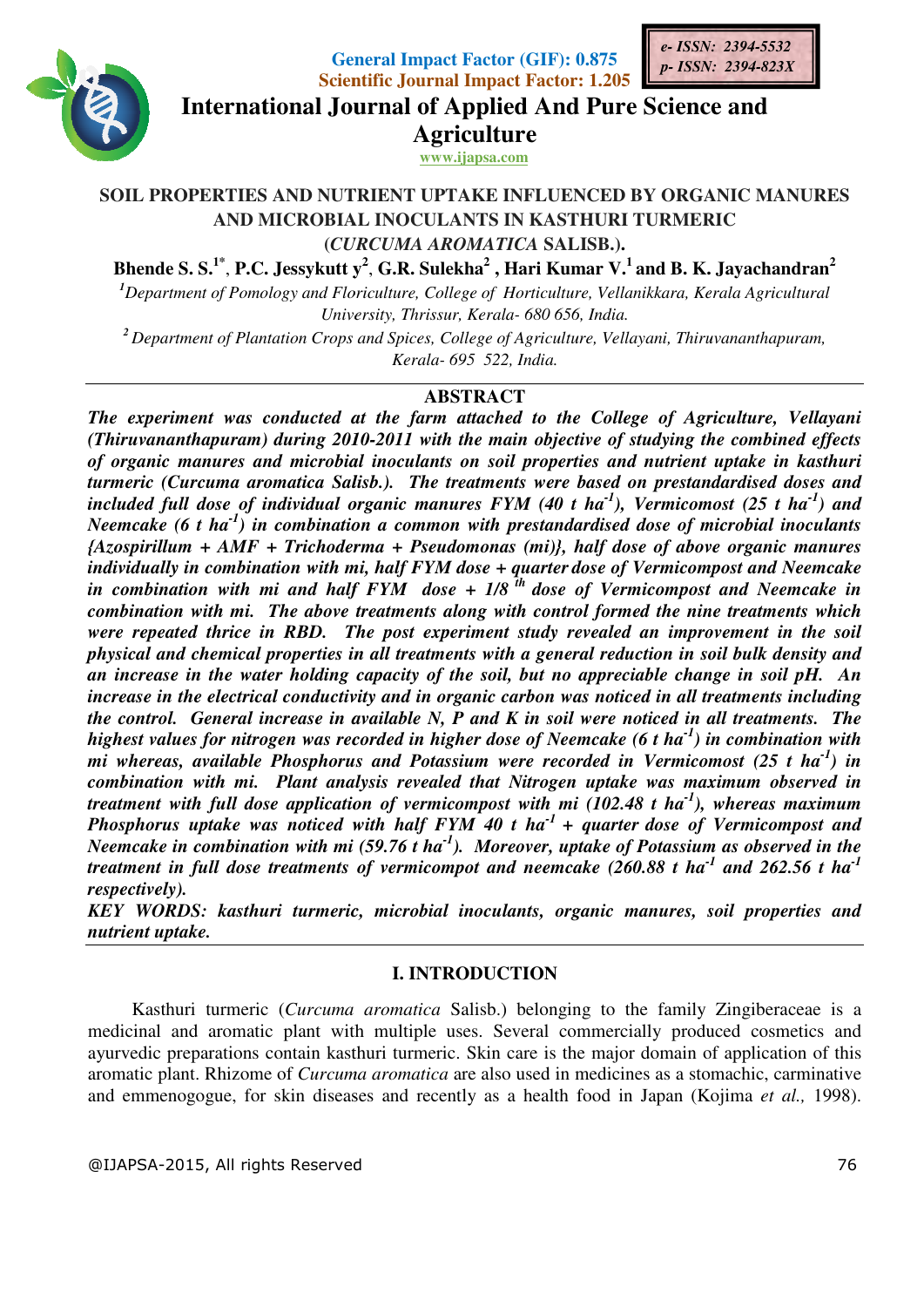

**General Imp Impact Factor (GIF): 0.875 Scientific Journal Impact Factor: 1.205** 



**International Journal of Applied And Pure Science and International Journal Science Agriculture www.ijapsa.com** 

#### **SOIL PROPERTIES AND NUTRIENT UPTAKE INFLUENCED BY ORGANIC MANURES AND MICROBIAL INOCULANTS IN KASTHURI TURMERIC (***CURCUMA AROMATICA* RTIES AND NUTRIENT UPTAKE INFLUENCED<br>AND MICROBIAL INOCULANTS IN KASTHURI<br>*(CURCUMA AROMATICA* SALISB.).

**Bhende S. S.1\*** , **P.C. Jessykutt y 2** , **G.R. Sulekha<sup>2</sup> , Hari Kumar V.<sup>1</sup>and B. K. Jayachandran 2** <sup>1</sup>Department of Pomology and Floriculture, College of Horticulture, Vellanikkara, Kerala Agricultural

*University niversity, Thrissur, Kerala- 680 656, India.* 

<sup>2</sup> Department of Plantation Crops and Spices, College of Agriculture, Vellayani, Thiruvananthapuram, *Kerala- 695 522, India.* 

# **ABSTRACT**

*The experiment was conducted at the farm attached to the College of Agriculture, Vellayani (Thiruvananthapuram) during 2010 experiment the the Agriculture, ) 2010-2011 with the main objective of studying the combined effects*  (Thiruvananthapuram) during 2010-2011 with the main objective of studying the combined effects<br>of organic manures and microbial inoculants on soil properties and nutrient uptake in kasthuri turmeric (Curcuma aromatica Salisb.). The treatments were based on prestandardised doses and included full dose of individual organic manures  $FYM$  (40 t ha<sup>-1</sup>), Vermicomost (25 t ha<sup>-1</sup>) and *Neemcake (6 t ha-1) in combination a common with prestandardised dose of microbial inoculants*  Neemcake (6 t ha<sup>-1</sup>) in combination a common with prestandardised dose of microbial inoculants<br>{Azospirillum + AMF + Trichoderma + Pseudomonas (mi)}, half dose of above organic manures *individually in combination with mi, half FYM dose* + quarter dose of Vermicompost and Neemcake in combination with mi and half FYM dose + 1/8<sup>th</sup> dose of Vermicompost and Neemcake in *combination with mi. The above treatments mi. treatments along with control formed the nine treatments which* were repeated thrice in RBD. The post experiment study revealed an improvement in the soil *physical and chemical properties in all treatments with a general reduction in soil bulk density and an increase in the water holding capacity of the soil, but no appreciable change in soil pH. An increase in the electrical conductivity and in organic carbon was noticed in all treatments including*  physical and chemical properties in all treatments with a general reduction in soil bulk density and<br>an increase in the water holding capacity of the soil, but no appreciable change in soil pH. An<br>increase in the electrica highest values for nitrogen was recorded in higher dose of Neemcake (6 t ha<sup>-1</sup>) in combination with *mi whereas, available Phosphorus and Potassium were recorded in Vermicomost (25 t ha<sup>-1</sup>) in* combination with mi. Plant analysis revealed that Nitrogen uptake was maximum observed in *treatment with full dose application of vermicompost with mi (102.48 t ha<sup>-1</sup>), whereas maximum Phosphorus uptake was noticed with half FYM 40 t ha<sup>-1</sup> + quarter dose of Vermicompost and Combination with mi. Plant analysis revealed that Nitrogen uptake was maximum observed in*<br>*treatment with full dose application of vermicompost with mi (102.48 t ha<sup>-1</sup>), whereas maximum<br><i>Phosphorus uptake was noticed wi treatment in full dose treatments of vermicompot and neemcake (260.88 t ha- and 262.56 t ha-1 respectively). dose of Vermicompost and Neemcake of Vermicompost and Neemcake in*<br>*col formed the nine treatments which*<br>revealed an improvement in the soil<br>ral reduction in soil bulk density and<br>appreciable change in soil pH. An<br>as not

KEY WORDS: kasthuri turmeric, microbial inoculants, organic manures, soil properties and *nutrient uptake.* 

## **I. INTRODUCTION**

Kasthuri turmeric (*Curcuma aromatica* Salisb.) belonging to the family Zingiberaceae is a inal and aromatic plant with multiple uses. Several commercially produced cosmetics and edic preparations contain kasthuri turmeric medicinal and aromatic plant with multiple uses. Several commercially produced cosmetics and medicinal and aromatic plant with multiple uses. Several commercially produced cosmetics and ayurvedic preparations contain kasthuri turmeric. Skin care is the major domain of application of this aromatic plant. Rhizome of *Curcuma aromatica* are also used in medicines as a stomachic, carminative and emmenogogue, for skin diseases and recently as a health food in Japan (Kojima et al., 1998).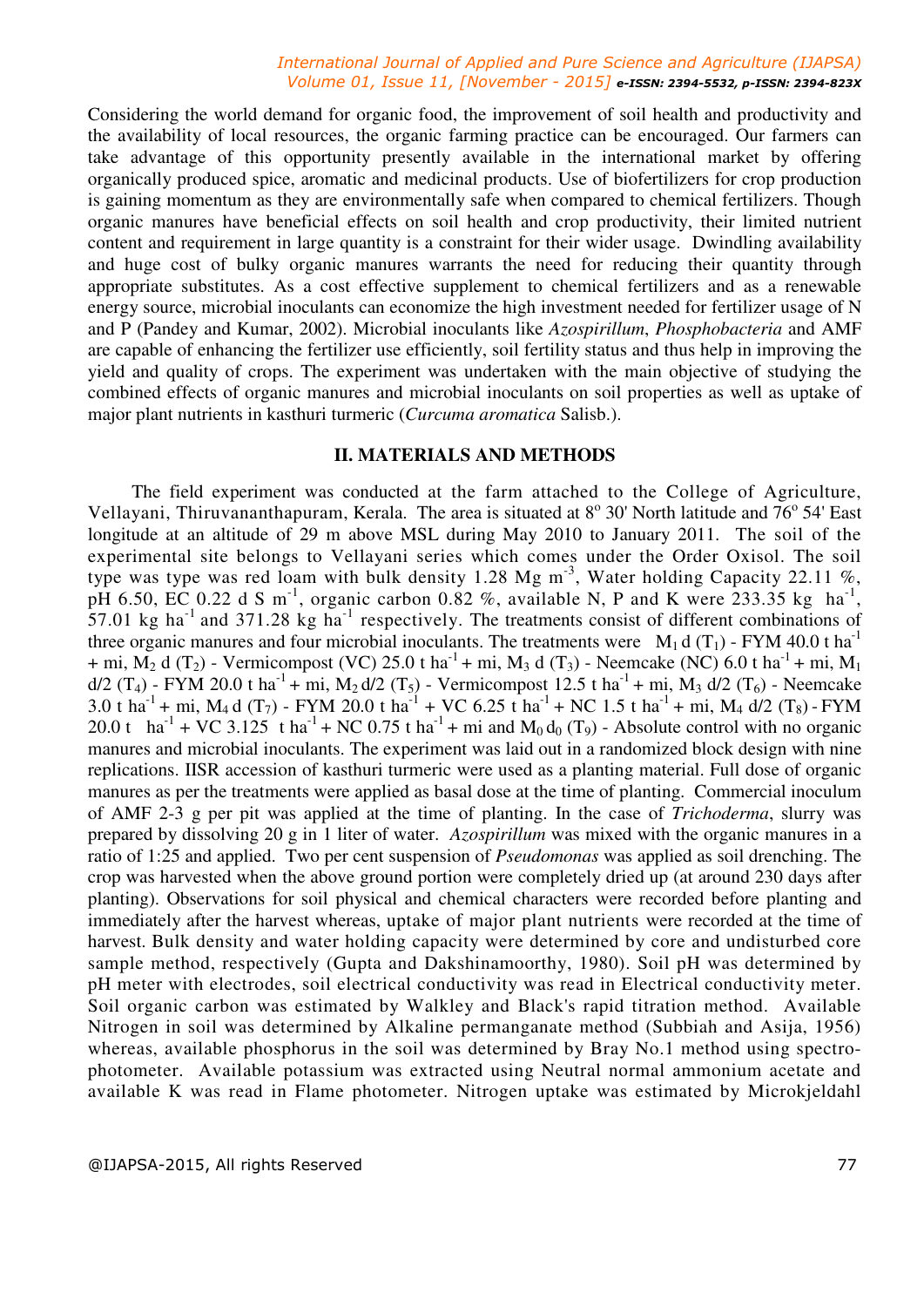### *International Journal of Applied and Pure Science and Agriculture (IJAPSA) Volume 01, Issue 11, [November - 2015] e-ISSN: 2394-5532, p-ISSN: 2394-823X*

Considering the world demand for organic food, the improvement of soil health and productivity and the availability of local resources, the organic farming practice can be encouraged. Our farmers can take advantage of this opportunity presently available in the international market by offering organically produced spice, aromatic and medicinal products. Use of biofertilizers for crop production is gaining momentum as they are environmentally safe when compared to chemical fertilizers. Though organic manures have beneficial effects on soil health and crop productivity, their limited nutrient content and requirement in large quantity is a constraint for their wider usage. Dwindling availability and huge cost of bulky organic manures warrants the need for reducing their quantity through appropriate substitutes. As a cost effective supplement to chemical fertilizers and as a renewable energy source, microbial inoculants can economize the high investment needed for fertilizer usage of N and P (Pandey and Kumar, 2002). Microbial inoculants like *Azospirillum*, *Phosphobacteria* and AMF are capable of enhancing the fertilizer use efficiently, soil fertility status and thus help in improving the yield and quality of crops. The experiment was undertaken with the main objective of studying the combined effects of organic manures and microbial inoculants on soil properties as well as uptake of major plant nutrients in kasthuri turmeric (*Curcuma aromatica* Salisb.).

### **II. MATERIALS AND METHODS**

The field experiment was conducted at the farm attached to the College of Agriculture, Vellayani, Thiruvananthapuram, Kerala. The area is situated at 8° 30' North latitude and 76° 54' East longitude at an altitude of 29 m above MSL during May 2010 to January 2011. The soil of the experimental site belongs to Vellayani series which comes under the Order Oxisol. The soil type was type was red loam with bulk density  $1.28 \text{ Mg m}^3$ , Water holding Capacity  $22.11 \text{ %}$ , pH 6.50, EC 0.22 d S m<sup>-1</sup>, organic carbon 0.82 %, available N, P and K were 233.35 kg ha<sup>-1</sup>, 57.01 kg ha<sup>-1</sup> and 371.28 kg ha<sup>-1</sup> respectively. The treatments consist of different combinations of three organic manures and four microbial inoculants. The treatments were  $M_1 d(T_1)$  - FYM 40.0 t ha<sup>-1</sup> + mi,  $M_2$  d (T<sub>2</sub>) - Vermicompost (VC) 25.0 t ha<sup>-1</sup> + mi, M<sub>3</sub> d (T<sub>3</sub>) - Neemcake (NC) 6.0 t ha<sup>-1</sup> + mi, M<sub>1</sub>  $d/2$  (T<sub>4</sub>) - FYM 20.0 t ha<sup>-1</sup> + mi, M<sub>2</sub> d/2 (T<sub>5</sub>) - Vermicompost 12.5 t ha<sup>-1</sup> + mi, M<sub>3</sub> d/2 (T<sub>6</sub>) - Neemcake 3.0 t ha<sup>-1</sup> + mi, M<sub>4</sub> d (T<sub>7</sub>) - FYM 20.0 t ha<sup>-1</sup> + VC 6.25 t ha<sup>-1</sup> + NC 1.5 t ha<sup>-1</sup> + mi, M<sub>4</sub> d/2 (T<sub>8</sub>) - FYM 20.0 t ha<sup>-1</sup> + VC 3.125 t ha<sup>-1</sup> + NC 0.75 t ha<sup>-1</sup> + mi and M<sub>0</sub> d<sub>0</sub> (T<sub>9</sub>) - Absolute control with no organic manures and microbial inoculants. The experiment was laid out in a randomized block design with nine replications. IISR accession of kasthuri turmeric were used as a planting material. Full dose of organic manures as per the treatments were applied as basal dose at the time of planting. Commercial inoculum of AMF 2-3 g per pit was applied at the time of planting. In the case of *Trichoderma*, slurry was prepared by dissolving 20 g in 1 liter of water. *Azospirillum* was mixed with the organic manures in a ratio of 1:25 and applied. Two per cent suspension of *Pseudomonas* was applied as soil drenching. The crop was harvested when the above ground portion were completely dried up (at around 230 days after planting). Observations for soil physical and chemical characters were recorded before planting and immediately after the harvest whereas, uptake of major plant nutrients were recorded at the time of harvest. Bulk density and water holding capacity were determined by core and undisturbed core sample method, respectively (Gupta and Dakshinamoorthy, 1980). Soil pH was determined by pH meter with electrodes, soil electrical conductivity was read in Electrical conductivity meter. Soil organic carbon was estimated by Walkley and Black's rapid titration method. Available Nitrogen in soil was determined by Alkaline permanganate method (Subbiah and Asija, 1956) whereas, available phosphorus in the soil was determined by Bray No.1 method using spectrophotometer. Available potassium was extracted using Neutral normal ammonium acetate and available K was read in Flame photometer. Nitrogen uptake was estimated by Microkjeldahl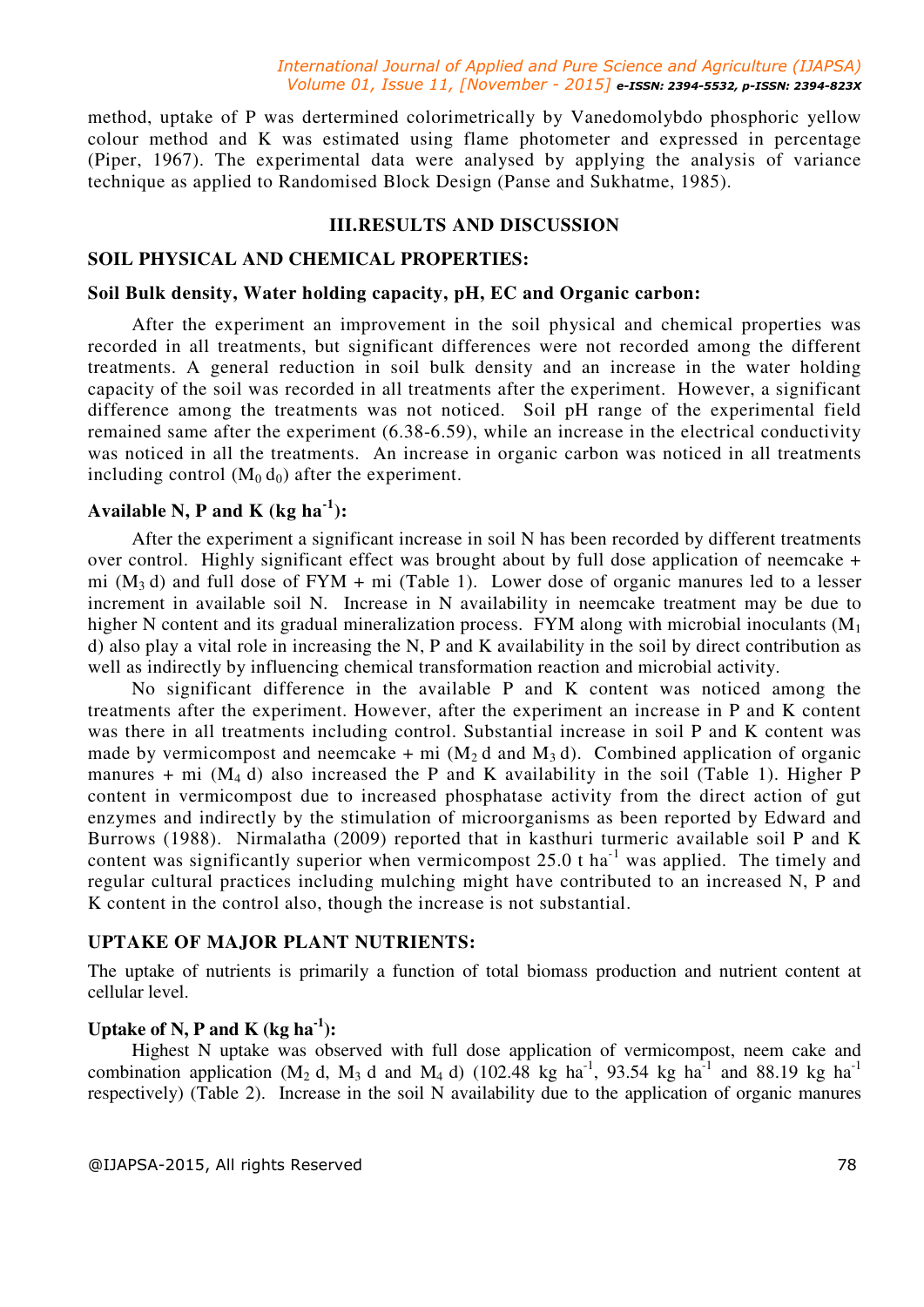#### *International Journal of Applied and Pure Science and Agriculture (IJAPSA) Volume 01, Issue 11, [November - 2015] e-ISSN: 2394-5532, p-ISSN: 2394-823X*

method, uptake of P was dertermined colorimetrically by Vanedomolybdo phosphoric yellow colour method and K was estimated using flame photometer and expressed in percentage (Piper, 1967). The experimental data were analysed by applying the analysis of variance technique as applied to Randomised Block Design (Panse and Sukhatme, 1985).

### **III.RESULTS AND DISCUSSION**

#### **SOIL PHYSICAL AND CHEMICAL PROPERTIES:**

#### **Soil Bulk density, Water holding capacity, pH, EC and Organic carbon:**

After the experiment an improvement in the soil physical and chemical properties was recorded in all treatments, but significant differences were not recorded among the different treatments. A general reduction in soil bulk density and an increase in the water holding capacity of the soil was recorded in all treatments after the experiment. However, a significant difference among the treatments was not noticed. Soil pH range of the experimental field remained same after the experiment (6.38-6.59), while an increase in the electrical conductivity was noticed in all the treatments. An increase in organic carbon was noticed in all treatments including control  $(M_0 d_0)$  after the experiment.

# **Available N, P and K (kg ha-1):**

After the experiment a significant increase in soil N has been recorded by different treatments over control. Highly significant effect was brought about by full dose application of neemcake + mi  $(M_3 d)$  and full dose of FYM + mi (Table 1). Lower dose of organic manures led to a lesser increment in available soil N. Increase in N availability in neemcake treatment may be due to higher N content and its gradual mineralization process. FYM along with microbial inoculants  $(M_1)$ d) also play a vital role in increasing the N, P and K availability in the soil by direct contribution as well as indirectly by influencing chemical transformation reaction and microbial activity.

No significant difference in the available P and K content was noticed among the treatments after the experiment. However, after the experiment an increase in P and K content was there in all treatments including control. Substantial increase in soil P and K content was made by vermicompost and neemcake + mi  $(M_2 d$  and  $M_3 d)$ . Combined application of organic manures + mi  $(M_4 d)$  also increased the P and K availability in the soil (Table 1). Higher P content in vermicompost due to increased phosphatase activity from the direct action of gut enzymes and indirectly by the stimulation of microorganisms as been reported by Edward and Burrows (1988). Nirmalatha (2009) reported that in kasthuri turmeric available soil P and K content was significantly superior when vermicompost 25.0 t ha<sup>-1</sup> was applied. The timely and regular cultural practices including mulching might have contributed to an increased N, P and K content in the control also, though the increase is not substantial.

### **UPTAKE OF MAJOR PLANT NUTRIENTS:**

The uptake of nutrients is primarily a function of total biomass production and nutrient content at cellular level.

# **Uptake of N, P and K (kg ha-1):**

Highest N uptake was observed with full dose application of vermicompost, neem cake and combination application (M<sub>2</sub> d, M<sub>3</sub> d and M<sub>4</sub> d) (102.48 kg ha<sup>-1</sup>, 93.54 kg ha<sup>-1</sup> and 88.19 kg ha<sup>-1</sup> respectively) (Table 2). Increase in the soil N availability due to the application of organic manures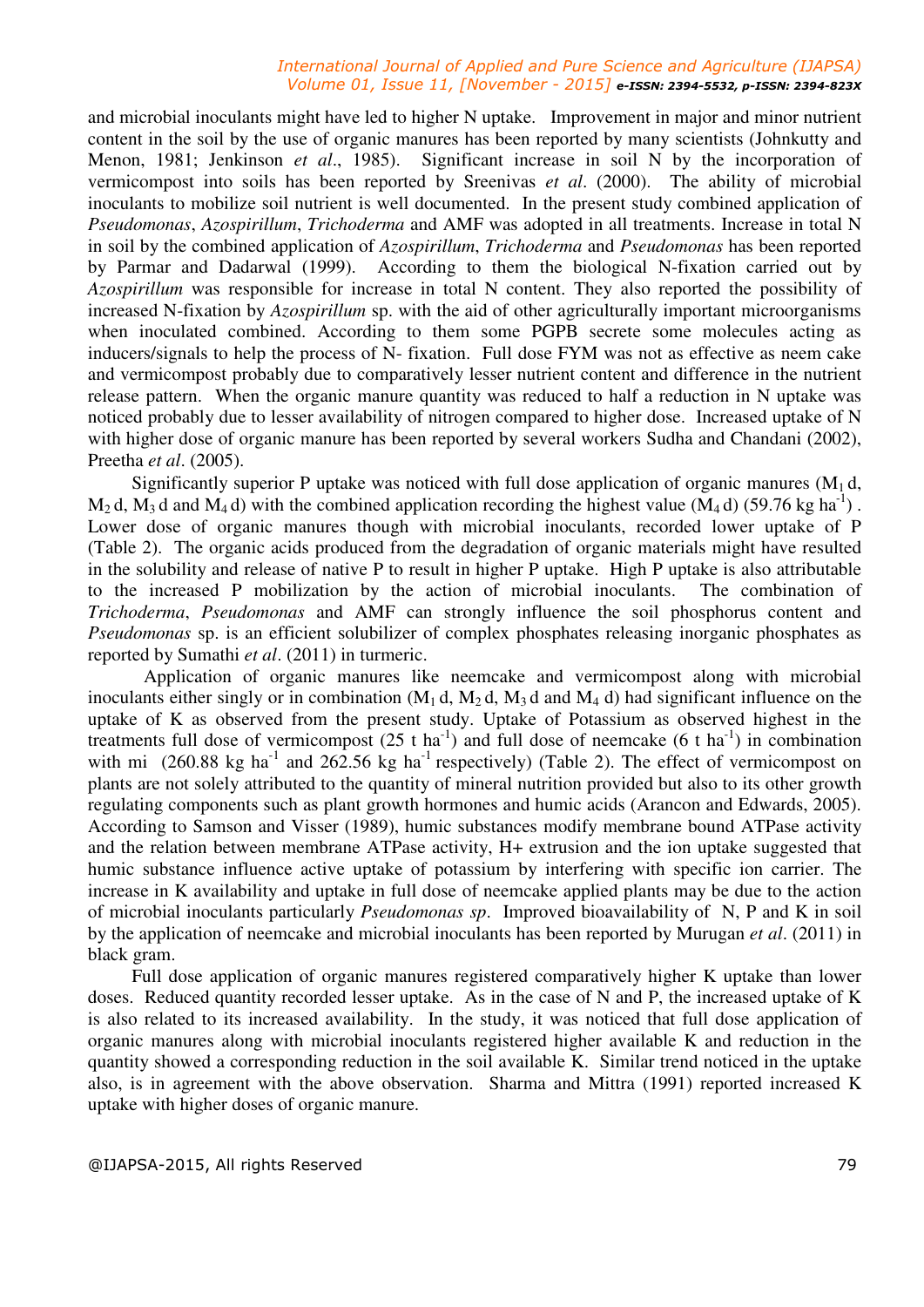#### *International Journal of Applied and Pure Science and Agriculture (IJAPSA) Volume 01, Issue 11, [November - 2015] e-ISSN: 2394-5532, p-ISSN: 2394-823X*

and microbial inoculants might have led to higher N uptake. Improvement in major and minor nutrient content in the soil by the use of organic manures has been reported by many scientists (Johnkutty and Menon, 1981; Jenkinson *et al*., 1985). Significant increase in soil N by the incorporation of vermicompost into soils has been reported by Sreenivas *et al*. (2000). The ability of microbial inoculants to mobilize soil nutrient is well documented. In the present study combined application of *Pseudomonas*, *Azospirillum*, *Trichoderma* and AMF was adopted in all treatments. Increase in total N in soil by the combined application of *Azospirillum*, *Trichoderma* and *Pseudomonas* has been reported by Parmar and Dadarwal (1999). According to them the biological N-fixation carried out by *Azospirillum* was responsible for increase in total N content. They also reported the possibility of increased N-fixation by *Azospirillum* sp. with the aid of other agriculturally important microorganisms when inoculated combined. According to them some PGPB secrete some molecules acting as inducers/signals to help the process of N- fixation. Full dose FYM was not as effective as neem cake and vermicompost probably due to comparatively lesser nutrient content and difference in the nutrient release pattern. When the organic manure quantity was reduced to half a reduction in N uptake was noticed probably due to lesser availability of nitrogen compared to higher dose. Increased uptake of N with higher dose of organic manure has been reported by several workers Sudha and Chandani (2002), Preetha *et al*. (2005).

Significantly superior P uptake was noticed with full dose application of organic manures  $(M_1 d,$  $M_2$  d,  $M_3$  d and  $M_4$  d) with the combined application recording the highest value (M<sub>4</sub> d) (59.76 kg ha<sup>-1</sup>). Lower dose of organic manures though with microbial inoculants, recorded lower uptake of P (Table 2). The organic acids produced from the degradation of organic materials might have resulted in the solubility and release of native P to result in higher P uptake. High P uptake is also attributable to the increased P mobilization by the action of microbial inoculants. The combination of *Trichoderma*, *Pseudomonas* and AMF can strongly influence the soil phosphorus content and *Pseudomonas* sp. is an efficient solubilizer of complex phosphates releasing inorganic phosphates as reported by Sumathi *et al*. (2011) in turmeric.

 Application of organic manures like neemcake and vermicompost along with microbial inoculants either singly or in combination  $(M_1 d, M_2 d, M_3 d$  and  $M_4 d$ ) had significant influence on the uptake of K as observed from the present study. Uptake of Potassium as observed highest in the treatments full dose of vermicompost  $(25 \text{ t ha}^{-1})$  and full dose of neemcake  $(6 \text{ t ha}^{-1})$  in combination with mi (260.88 kg ha<sup>-1</sup> and 262.56 kg ha<sup>-1</sup> respectively) (Table 2). The effect of vermicompost on plants are not solely attributed to the quantity of mineral nutrition provided but also to its other growth regulating components such as plant growth hormones and humic acids (Arancon and Edwards, 2005). According to Samson and Visser (1989), humic substances modify membrane bound ATPase activity and the relation between membrane ATPase activity, H+ extrusion and the ion uptake suggested that humic substance influence active uptake of potassium by interfering with specific ion carrier. The increase in K availability and uptake in full dose of neemcake applied plants may be due to the action of microbial inoculants particularly *Pseudomonas sp*. Improved bioavailability of N, P and K in soil by the application of neemcake and microbial inoculants has been reported by Murugan *et al*. (2011) in black gram.

Full dose application of organic manures registered comparatively higher K uptake than lower doses. Reduced quantity recorded lesser uptake. As in the case of N and P, the increased uptake of K is also related to its increased availability. In the study, it was noticed that full dose application of organic manures along with microbial inoculants registered higher available K and reduction in the quantity showed a corresponding reduction in the soil available K. Similar trend noticed in the uptake also, is in agreement with the above observation. Sharma and Mittra (1991) reported increased K uptake with higher doses of organic manure.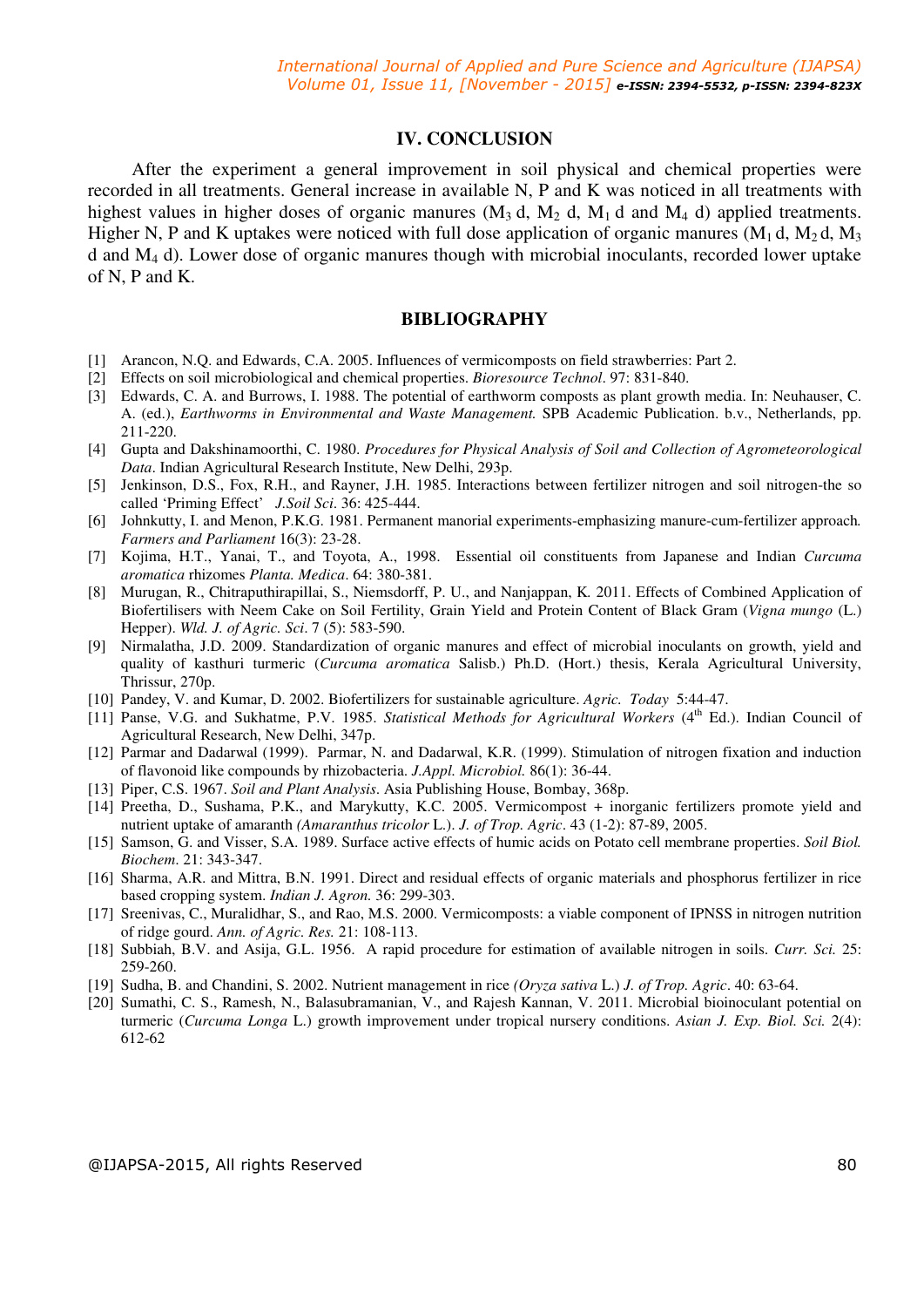#### **IV. CONCLUSION**

After the experiment a general improvement in soil physical and chemical properties were recorded in all treatments. General increase in available N, P and K was noticed in all treatments with highest values in higher doses of organic manures  $(M_3 d, M_2 d, M_1 d$  and  $M_4 d$ ) applied treatments. Higher N, P and K uptakes were noticed with full dose application of organic manures ( $M_1$  d,  $M_2$  d,  $M_3$ ) d and M4 d). Lower dose of organic manures though with microbial inoculants, recorded lower uptake of N, P and K.

#### **BIBLIOGRAPHY**

- [1] Arancon, N.Q. and Edwards, C.A. 2005. Influences of vermicomposts on field strawberries: Part 2.
- [2] Effects on soil microbiological and chemical properties. *Bioresource Technol*. 97: 831-840.
- [3] Edwards, C. A. and Burrows, I. 1988. The potential of earthworm composts as plant growth media. In: Neuhauser, C. A. (ed.), *Earthworms in Environmental and Waste Management.* SPB Academic Publication. b.v., Netherlands, pp. 211-220.
- [4] Gupta and Dakshinamoorthi, C. 1980. *Procedures for Physical Analysis of Soil and Collection of Agrometeorological Data*. Indian Agricultural Research Institute, New Delhi, 293p.
- [5] Jenkinson, D.S., Fox, R.H., and Rayner, J.H. 1985. Interactions between fertilizer nitrogen and soil nitrogen-the so called 'Priming Effect' *J.Soil Sci*. 36: 425-444.
- [6] Johnkutty, I. and Menon, P.K.G. 1981. Permanent manorial experiments-emphasizing manure-cum-fertilizer approach*. Farmers and Parliament* 16(3): 23-28.
- [7] Kojima, H.T., Yanai, T., and Toyota, A., 1998. Essential oil constituents from Japanese and Indian *Curcuma aromatica* rhizomes *Planta. Medica*. 64: 380-381.
- [8] Murugan, R., Chitraputhirapillai, S., Niemsdorff, P. U., and Nanjappan, K*.* 2011. Effects of Combined Application of Biofertilisers with Neem Cake on Soil Fertility, Grain Yield and Protein Content of Black Gram (*Vigna mungo* (L.) Hepper). *Wld. J. of Agric. Sci*. 7 (5): 583-590.
- [9] Nirmalatha, J.D. 2009. Standardization of organic manures and effect of microbial inoculants on growth, yield and quality of kasthuri turmeric (*Curcuma aromatica* Salisb.) Ph.D. (Hort.) thesis, Kerala Agricultural University, Thrissur, 270p.
- [10] Pandey, V. and Kumar, D. 2002. Biofertilizers for sustainable agriculture. *Agric. Today* 5:44-47.
- [11] Panse, V.G. and Sukhatme, P.V. 1985. *Statistical Methods for Agricultural Workers* (4<sup>th</sup> Ed.). Indian Council of Agricultural Research, New Delhi, 347p.
- [12] Parmar and Dadarwal (1999). Parmar, N. and Dadarwal, K.R. (1999). Stimulation of nitrogen fixation and induction of flavonoid like compounds by rhizobacteria. *J.Appl. Microbiol.* 86(1): 36-44.
- [13] Piper, C.S. 1967. *Soil and Plant Analysis*. Asia Publishing House, Bombay, 368p.
- [14] Preetha, D., Sushama, P.K., and Marykutty, K.C. 2005. Vermicompost + inorganic fertilizers promote yield and nutrient uptake of amaranth *(Amaranthus tricolor* L.). *J. of Trop. Agric*. 43 (1-2): 87-89, 2005.
- [15] Samson, G. and Visser, S.A. 1989. Surface active effects of humic acids on Potato cell membrane properties. *Soil Biol. Biochem*. 21: 343-347.
- [16] Sharma, A.R. and Mittra, B.N. 1991. Direct and residual effects of organic materials and phosphorus fertilizer in rice based cropping system. *Indian J. Agron.* 36: 299-303.
- [17] Sreenivas, C., Muralidhar, S., and Rao, M.S. 2000. Vermicomposts: a viable component of IPNSS in nitrogen nutrition of ridge gourd. *Ann. of Agric. Res.* 21: 108-113.
- [18] Subbiah, B.V. and Asija, G.L. 1956. A rapid procedure for estimation of available nitrogen in soils. *Curr. Sci.* 25: 259-260.
- [19] Sudha, B. and Chandini, S. 2002. Nutrient management in rice *(Oryza sativa* L.) *J. of Trop. Agric*. 40: 63-64.
- [20] Sumathi, C. S., Ramesh, N., Balasubramanian, V., and Rajesh Kannan, V. 2011. Microbial bioinoculant potential on turmeric (*Curcuma Longa* L.) growth improvement under tropical nursery conditions. *Asian J. Exp. Biol. Sci.* 2(4): 612-62